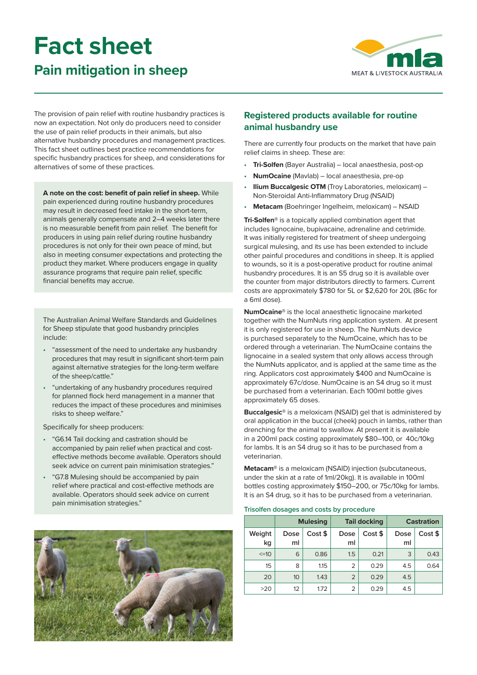# **Fact sheet**

# **Pain mitigation in sheep**



The provision of pain relief with routine husbandry practices is now an expectation. Not only do producers need to consider the use of pain relief products in their animals, but also alternative husbandry procedures and management practices. This fact sheet outlines best practice recommendations for specific husbandry practices for sheep, and considerations for alternatives of some of these practices.

**A note on the cost: benefit of pain relief in sheep.** While pain experienced during routine husbandry procedures may result in decreased feed intake in the short-term, animals generally compensate and 2–4 weeks later there is no measurable benefit from pain relief. The benefit for producers in using pain relief during routine husbandry procedures is not only for their own peace of mind, but also in meeting consumer expectations and protecting the product they market. Where producers engage in quality assurance programs that require pain relief, specific financial benefits may accrue.

The Australian Animal Welfare Standards and Guidelines for Sheep stipulate that good husbandry principles include:

- "assessment of the need to undertake any husbandry procedures that may result in significant short-term pain against alternative strategies for the long-term welfare of the sheep/cattle."
- "undertaking of any husbandry procedures required for planned flock herd management in a manner that reduces the impact of these procedures and minimises risks to sheep welfare."

Specifically for sheep producers:

- "G6.14 Tail docking and castration should be accompanied by pain relief when practical and costeffective methods become available. Operators should seek advice on current pain minimisation strategies."
- "G7.8 Mulesing should be accompanied by pain relief where practical and cost-effective methods are available. Operators should seek advice on current pain minimisation strategies."



# **Registered products available for routine animal husbandry use**

There are currently four products on the market that have pain relief claims in sheep. These are:

- **Tri-Solfen** (Bayer Australia) local anaesthesia, post-op
- **NumOcaine** (Mavlab) local anaesthesia, pre-op
- **Ilium Buccalgesic OTM** (Troy Laboratories, meloxicam) Non-Steroidal Anti-Inflammatory Drug (NSAID)
- **Metacam** (Boehringer Ingelheim, meloxicam) NSAID

**Tri-Solfen®** is a topically applied combination agent that includes lignocaine, bupivacaine, adrenaline and cetrimide. It was initially registered for treatment of sheep undergoing surgical mulesing, and its use has been extended to include other painful procedures and conditions in sheep. It is applied to wounds, so it is a post-operative product for routine animal husbandry procedures. It is an S5 drug so it is available over the counter from major distributors directly to farmers. Current costs are approximately \$780 for 5L or \$2,620 for 20L (86c for a 6ml dose).

**NumOcaine®** is the local anaesthetic lignocaine marketed together with the NumNuts ring application system. At present it is only registered for use in sheep. The NumNuts device is purchased separately to the NumOcaine, which has to be ordered through a veterinarian. The NumOcaine contains the lignocaine in a sealed system that only allows access through the NumNuts applicator, and is applied at the same time as the ring. Applicators cost approximately \$400 and NumOcaine is approximately 67c/dose. NumOcaine is an S4 drug so it must be purchased from a veterinarian. Each 100ml bottle gives approximately 65 doses.

**Buccalgesic®** is a meloxicam (NSAID) gel that is administered by oral application in the buccal (cheek) pouch in lambs, rather than drenching for the animal to swallow. At present it is available in a 200ml pack costing approximately \$80–100, or 40c/10kg for lambs. It is an S4 drug so it has to be purchased from a veterinarian.

**Metacam®** is a meloxicam (NSAID) injection (subcutaneous, under the skin at a rate of 1ml/20kg). It is available in 100ml bottles costing approximately \$150–200, or 75c/10kg for lambs. It is an S4 drug, so it has to be purchased from a veterinarian.

#### **Trisolfen dosages and costs by procedure**

|              |            | <b>Mulesing</b> | <b>Tail docking</b> |         | <b>Castration</b> |         |
|--------------|------------|-----------------|---------------------|---------|-------------------|---------|
| Weight<br>kg | Dose<br>ml | Cost \$         | Dose<br>ml          | Cost \$ | Dose<br>ml        | Cost \$ |
| $\leq$ =10   | 6          | 0.86            | 1.5                 | 0.21    | 3                 | 0.43    |
| 15           | 8          | 1.15            | $\overline{2}$      | 0.29    | 4.5               | 0.64    |
| 20           | 10         | 1.43            | $\overline{2}$      | 0.29    | 4.5               |         |
| >20          | 12         | 1.72            | 2                   | 0.29    | 4.5               |         |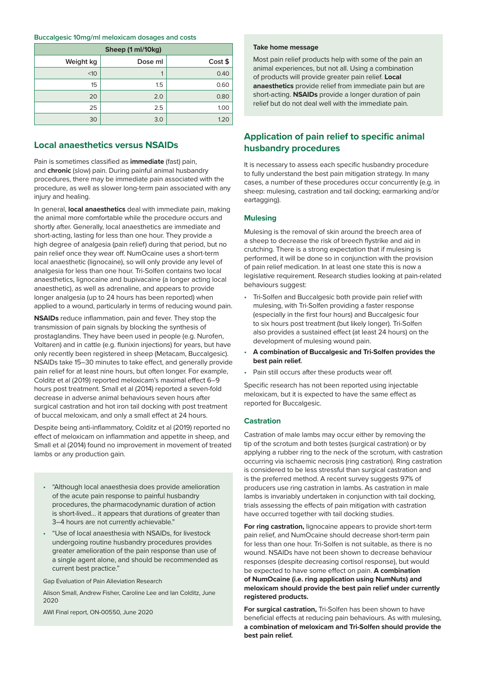#### **Buccalgesic 10mg/ml meloxicam dosages and costs**

| Sheep (1 ml/10kg) |         |         |  |  |  |  |  |  |
|-------------------|---------|---------|--|--|--|--|--|--|
| Weight kg         | Dose ml | Cost \$ |  |  |  |  |  |  |
| <10               |         | 0.40    |  |  |  |  |  |  |
| 15                | 1.5     | 0.60    |  |  |  |  |  |  |
| 20                | 2.0     | 0.80    |  |  |  |  |  |  |
| 25                | 2.5     | 1.00    |  |  |  |  |  |  |
| 30                | 3.0     | 1.2C    |  |  |  |  |  |  |

# **Local anaesthetics versus NSAIDs**

Pain is sometimes classified as **immediate** (fast) pain, and **chronic** (slow) pain. During painful animal husbandry procedures, there may be immediate pain associated with the procedure, as well as slower long-term pain associated with any injury and healing.

In general, **local anaesthetics** deal with immediate pain, making the animal more comfortable while the procedure occurs and shortly after. Generally, local anaesthetics are immediate and short-acting, lasting for less than one hour. They provide a high degree of analgesia (pain relief) during that period, but no pain relief once they wear off. NumOcaine uses a short-term local anaesthetic (lignocaine), so will only provide any level of analgesia for less than one hour. Tri-Solfen contains two local anaesthetics, lignocaine and bupivacaine (a longer acting local anaesthetic), as well as adrenaline, and appears to provide longer analgesia (up to 24 hours has been reported) when applied to a wound, particularly in terms of reducing wound pain.

**NSAIDs** reduce inflammation, pain and fever. They stop the transmission of pain signals by blocking the synthesis of prostaglandins. They have been used in people (e.g. Nurofen, Voltaren) and in cattle (e.g. flunixin injections) for years, but have only recently been registered in sheep (Metacam, Buccalgesic). NSAIDs take 15–30 minutes to take effect, and generally provide pain relief for at least nine hours, but often longer. For example, Colditz et al (2019) reported meloxicam's maximal effect 6–9 hours post treatment. Small et al (2014) reported a seven-fold decrease in adverse animal behaviours seven hours after surgical castration and hot iron tail docking with post treatment of buccal meloxicam, and only a small effect at 24 hours.

Despite being anti-inflammatory, Colditz et al (2019) reported no effect of meloxicam on inflammation and appetite in sheep, and Small et al (2014) found no improvement in movement of treated lambs or any production gain.

- "Although local anaesthesia does provide amelioration of the acute pain response to painful husbandry procedures, the pharmacodynamic duration of action is short-lived… it appears that durations of greater than 3–4 hours are not currently achievable."
- "Use of local anaesthesia with NSAIDs, for livestock undergoing routine husbandry procedures provides greater amelioration of the pain response than use of a single agent alone, and should be recommended as current best practice."

Gap Evaluation of Pain Alleviation Research

Alison Small, Andrew Fisher, Caroline Lee and Ian Colditz, June 2020

AWI Final report, ON-00550, June 2020

#### **Take home message**

Most pain relief products help with some of the pain an animal experiences, but not all. Using a combination of products will provide greater pain relief. **Local anaesthetics** provide relief from immediate pain but are short-acting. **NSAIDs** provide a longer duration of pain relief but do not deal well with the immediate pain.

# **Application of pain relief to specific animal husbandry procedures**

It is necessary to assess each specific husbandry procedure to fully understand the best pain mitigation strategy. In many cases, a number of these procedures occur concurrently (e.g. in sheep: mulesing, castration and tail docking; earmarking and/or eartagging).

#### **Mulesing**

Mulesing is the removal of skin around the breech area of a sheep to decrease the risk of breech flystrike and aid in crutching. There is a strong expectation that if mulesing is performed, it will be done so in conjunction with the provision of pain relief medication. In at least one state this is now a legislative requirement. Research studies looking at pain-related behaviours suggest:

- Tri-Solfen and Buccalgesic both provide pain relief with mulesing, with Tri-Solfen providing a faster response (especially in the first four hours) and Buccalgesic four to six hours post treatment (but likely longer). Tri-Solfen also provides a sustained effect (at least 24 hours) on the development of mulesing wound pain.
- **A combination of Buccalgesic and Tri-Solfen provides the best pain relief.**
- Pain still occurs after these products wear off.

Specific research has not been reported using injectable meloxicam, but it is expected to have the same effect as reported for Buccalgesic.

#### **Castration**

Castration of male lambs may occur either by removing the tip of the scrotum and both testes (surgical castration) or by applying a rubber ring to the neck of the scrotum, with castration occurring via ischaemic necrosis (ring castration). Ring castration is considered to be less stressful than surgical castration and is the preferred method. A recent survey suggests 97% of producers use ring castration in lambs. As castration in male lambs is invariably undertaken in conjunction with tail docking, trials assessing the effects of pain mitigation with castration have occurred together with tail docking studies.

**For ring castration,** lignocaine appears to provide short-term pain relief, and NumOcaine should decrease short-term pain for less than one hour. Tri-Solfen is not suitable, as there is no wound. NSAIDs have not been shown to decrease behaviour responses (despite decreasing cortisol response), but would be expected to have some effect on pain. **A combination of NumOcaine (i.e. ring application using NumNuts) and meloxicam should provide the best pain relief under currently registered products.** 

**For surgical castration,** Tri-Solfen has been shown to have beneficial effects at reducing pain behaviours. As with mulesing, **a combination of meloxicam and Tri-Solfen should provide the best pain relief.**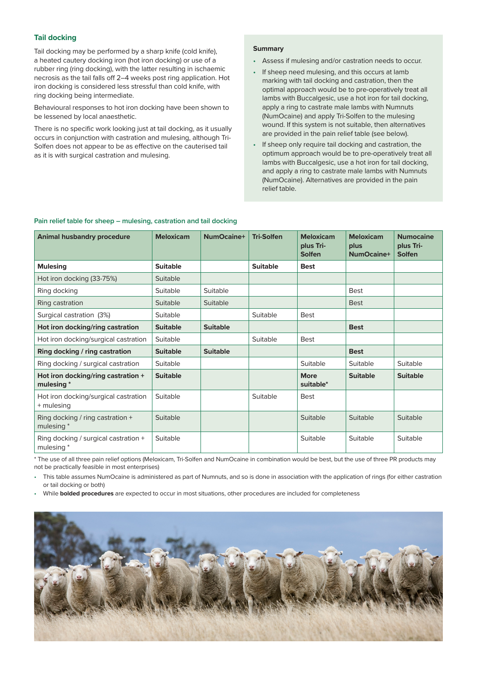#### **Tail docking**

Tail docking may be performed by a sharp knife (cold knife), a heated cautery docking iron (hot iron docking) or use of a rubber ring (ring docking), with the latter resulting in ischaemic necrosis as the tail falls off 2–4 weeks post ring application. Hot iron docking is considered less stressful than cold knife, with ring docking being intermediate.

Behavioural responses to hot iron docking have been shown to be lessened by local anaesthetic.

There is no specific work looking just at tail docking, as it usually occurs in conjunction with castration and mulesing, although Tri-Solfen does not appear to be as effective on the cauterised tail as it is with surgical castration and mulesing.

#### **Summary**

- Assess if mulesing and/or castration needs to occur.
- If sheep need mulesing, and this occurs at lamb marking with tail docking and castration, then the optimal approach would be to pre-operatively treat all lambs with Buccalgesic, use a hot iron for tail docking, apply a ring to castrate male lambs with Numnuts (NumOcaine) and apply Tri-Solfen to the mulesing wound. If this system is not suitable, then alternatives are provided in the pain relief table (see below).
- If sheep only require tail docking and castration, the optimum approach would be to pre-operatively treat all lambs with Buccalgesic, use a hot iron for tail docking, and apply a ring to castrate male lambs with Numnuts (NumOcaine). Alternatives are provided in the pain relief table.

#### **Pain relief table for sheep – mulesing, castration and tail docking**

| <b>Animal husbandry procedure</b>                  | <b>Meloxicam</b> | NumOcaine+      | <b>Tri-Solfen</b> | <b>Meloxicam</b><br>plus Tri-<br><b>Solfen</b> | <b>Meloxicam</b><br>plus<br>NumOcaine+ | <b>Numocaine</b><br>plus Tri-<br><b>Solfen</b> |
|----------------------------------------------------|------------------|-----------------|-------------------|------------------------------------------------|----------------------------------------|------------------------------------------------|
| <b>Mulesing</b>                                    | <b>Suitable</b>  |                 | <b>Suitable</b>   | <b>Best</b>                                    |                                        |                                                |
| Hot iron docking (33-75%)                          | Suitable         |                 |                   |                                                |                                        |                                                |
| Ring docking                                       | Suitable         | Suitable        |                   |                                                | <b>Best</b>                            |                                                |
| Ring castration                                    | Suitable         | Suitable        |                   |                                                | <b>Best</b>                            |                                                |
| Surgical castration (3%)                           | Suitable         |                 | Suitable          | <b>Best</b>                                    |                                        |                                                |
| Hot iron docking/ring castration                   | <b>Suitable</b>  | <b>Suitable</b> |                   |                                                | <b>Best</b>                            |                                                |
| Hot iron docking/surgical castration               | Suitable         |                 | Suitable          | <b>Best</b>                                    |                                        |                                                |
| Ring docking / ring castration                     | <b>Suitable</b>  | <b>Suitable</b> |                   |                                                | <b>Best</b>                            |                                                |
| Ring docking / surgical castration                 | Suitable         |                 |                   | Suitable                                       | Suitable                               | <b>Suitable</b>                                |
| Hot iron docking/ring castration +<br>mulesing *   | <b>Suitable</b>  |                 |                   | <b>More</b><br>suitable*                       | <b>Suitable</b>                        | <b>Suitable</b>                                |
| Hot iron docking/surgical castration<br>+ mulesing | Suitable         |                 | Suitable          | <b>Best</b>                                    |                                        |                                                |
| Ring docking / ring castration +<br>mulesing *     | Suitable         |                 |                   | Suitable                                       | Suitable                               | Suitable                                       |
| Ring docking / surgical castration +<br>mulesing * | Suitable         |                 |                   | Suitable                                       | Suitable                               | Suitable                                       |

\* The use of all three pain relief options (Meloxicam, Tri-Solfen and NumOcaine in combination would be best, but the use of three PR products may not be practically feasible in most enterprises)

• This table assumes NumOcaine is administered as part of Numnuts, and so is done in association with the application of rings (for either castration or tail docking or both)

• While **bolded procedures** are expected to occur in most situations, other procedures are included for completeness